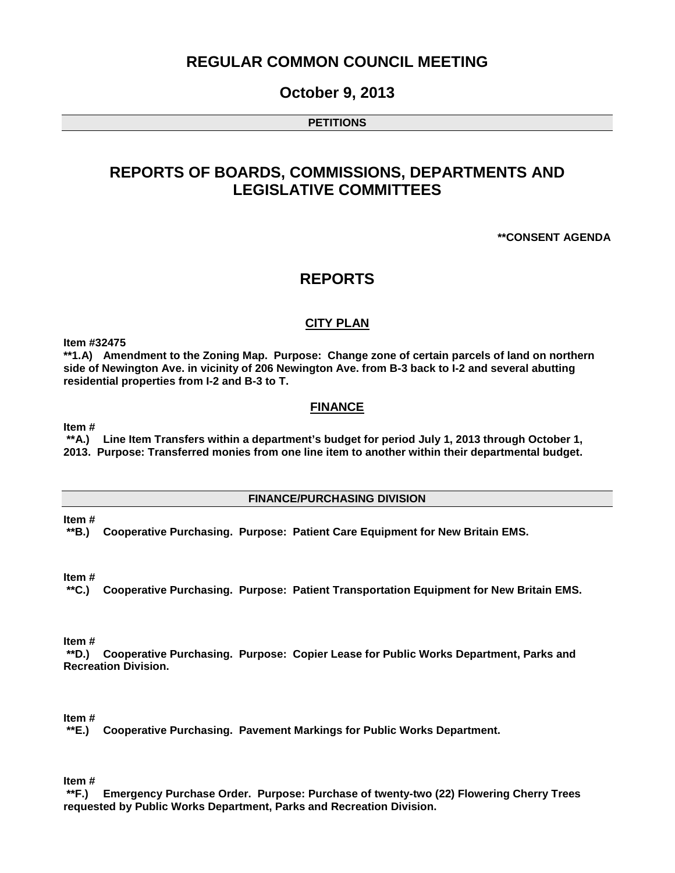# **REGULAR COMMON COUNCIL MEETING**

### **October 9, 2013**

#### **PETITIONS**

# **REPORTS OF BOARDS, COMMISSIONS, DEPARTMENTS AND LEGISLATIVE COMMITTEES**

#### **\*\*CONSENT AGENDA**

### **REPORTS**

#### **CITY PLAN**

**Item #32475**

**\*\*1.A) Amendment to the Zoning Map. Purpose: Change zone of certain parcels of land on northern side of Newington Ave. in vicinity of 206 Newington Ave. from B-3 back to I-2 and several abutting residential properties from I-2 and B-3 to T.** 

#### **FINANCE**

**Item #**

**\*\*A.) Line Item Transfers within a department's budget for period July 1, 2013 through October 1, 2013. Purpose: Transferred monies from one line item to another within their departmental budget.** 

#### **FINANCE/PURCHASING DIVISION**

**Item #**

**\*\*B.) Cooperative Purchasing. Purpose: Patient Care Equipment for New Britain EMS.**

**Item #**

**\*\*C.) Cooperative Purchasing. Purpose: Patient Transportation Equipment for New Britain EMS.** 

**Item #**

**\*\*D.) Cooperative Purchasing. Purpose: Copier Lease for Public Works Department, Parks and Recreation Division.**

**Item #**

**\*\*E.) Cooperative Purchasing. Pavement Markings for Public Works Department.**

**Item #**

**\*\*F.) Emergency Purchase Order. Purpose: Purchase of twenty-two (22) Flowering Cherry Trees requested by Public Works Department, Parks and Recreation Division.**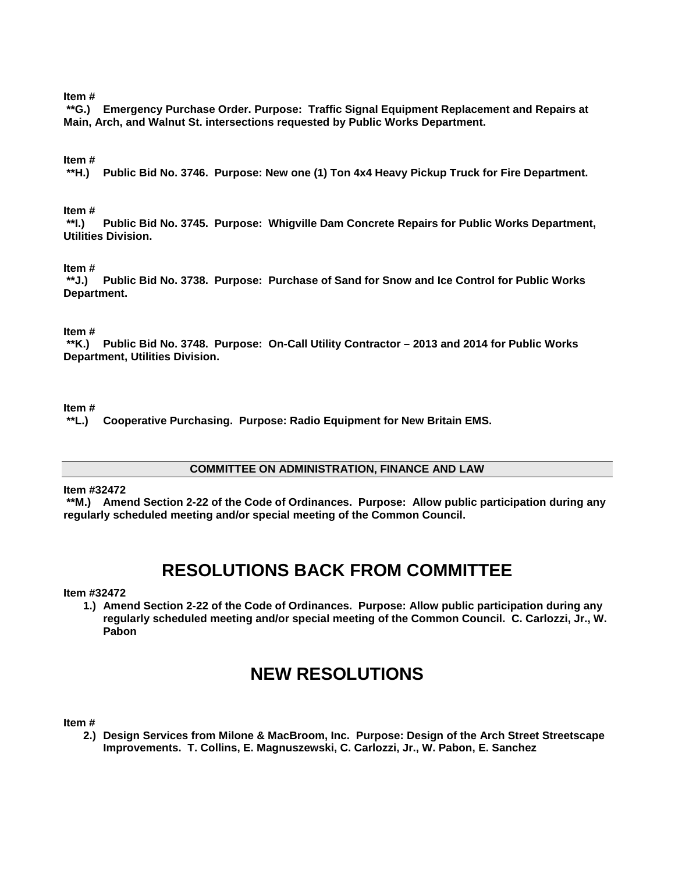#### **Item #**

**\*\*G.) Emergency Purchase Order. Purpose: Traffic Signal Equipment Replacement and Repairs at Main, Arch, and Walnut St. intersections requested by Public Works Department.** 

#### **Item #**

**\*\*H.) Public Bid No. 3746. Purpose: New one (1) Ton 4x4 Heavy Pickup Truck for Fire Department.** 

# **Item #**

**\*\*I.) Public Bid No. 3745. Purpose: Whigville Dam Concrete Repairs for Public Works Department, Utilities Division.** 

#### **Item #**

**\*\*J.) Public Bid No. 3738. Purpose: Purchase of Sand for Snow and Ice Control for Public Works Department.**

**Item #**

**\*\*K.) Public Bid No. 3748. Purpose: On-Call Utility Contractor – 2013 and 2014 for Public Works Department, Utilities Division.**

#### **Item #**

**\*\*L.) Cooperative Purchasing. Purpose: Radio Equipment for New Britain EMS.**

#### **COMMITTEE ON ADMINISTRATION, FINANCE AND LAW**

#### **Item #32472**

**\*\*M.) Amend Section 2-22 of the Code of Ordinances. Purpose: Allow public participation during any regularly scheduled meeting and/or special meeting of the Common Council.** 

# **RESOLUTIONS BACK FROM COMMITTEE**

#### **Item #32472**

**1.) Amend Section 2-22 of the Code of Ordinances. Purpose: Allow public participation during any regularly scheduled meeting and/or special meeting of the Common Council. C. Carlozzi, Jr., W. Pabon** 

# **NEW RESOLUTIONS**

#### **Item #**

**2.) Design Services from Milone & MacBroom, Inc. Purpose: Design of the Arch Street Streetscape Improvements. T. Collins, E. Magnuszewski, C. Carlozzi, Jr., W. Pabon, E. Sanchez**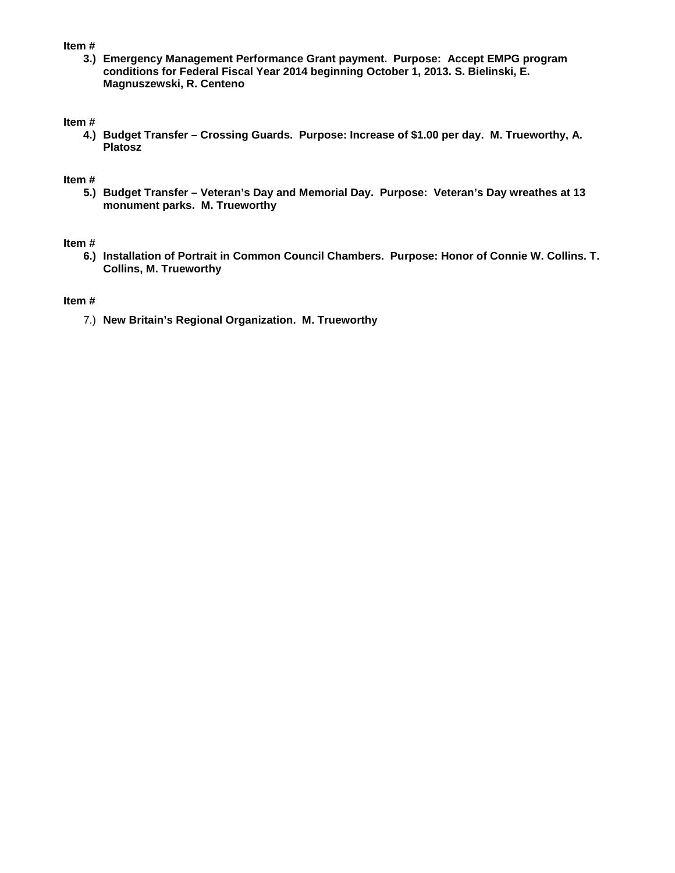#### **Item #**

**3.) Emergency Management Performance Grant payment. Purpose: Accept EMPG program conditions for Federal Fiscal Year 2014 beginning October 1, 2013. S. Bielinski, E. Magnuszewski, R. Centeno** 

#### **Item #**

**4.) Budget Transfer – Crossing Guards. Purpose: Increase of \$1.00 per day. M. Trueworthy, A. Platosz**

#### **Item #**

**5.) Budget Transfer – Veteran's Day and Memorial Day. Purpose: Veteran's Day wreathes at 13 monument parks. M. Trueworthy**

#### **Item #**

**6.) Installation of Portrait in Common Council Chambers. Purpose: Honor of Connie W. Collins. T. Collins, M. Trueworthy** 

#### **Item #**

7.) **New Britain's Regional Organization. M. Trueworthy**